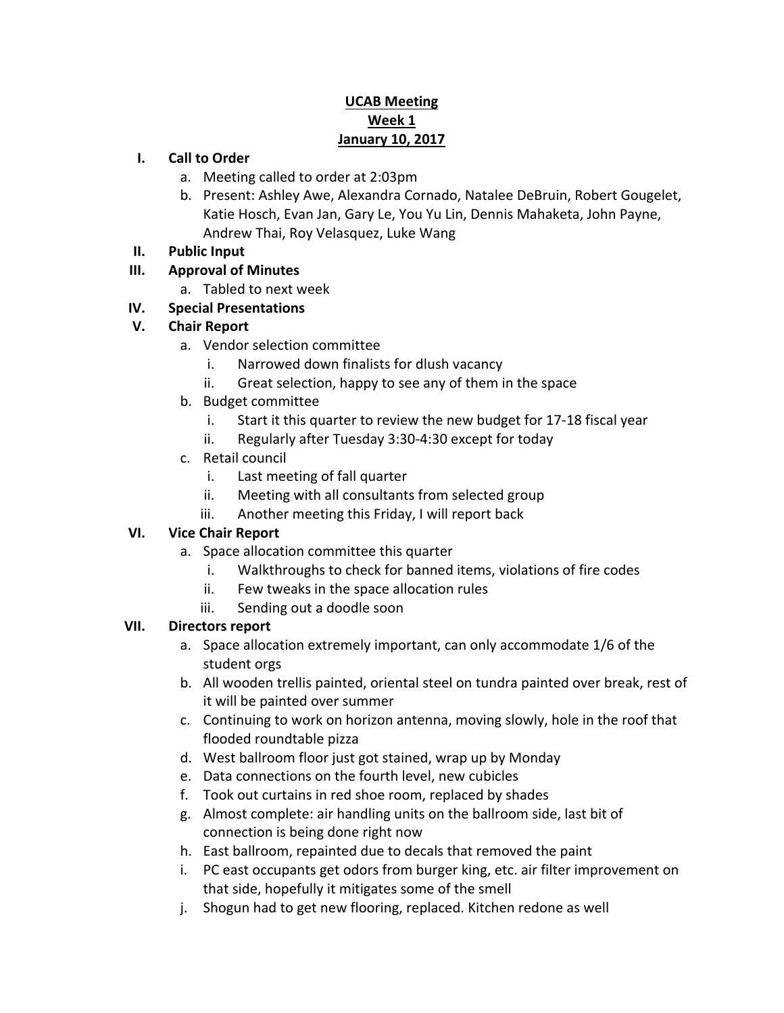# **UCAB Meeting Week 1 January 10, 2017**

### **I. Call to Order**

- a. Meeting called to order at 2:03pm
- b. Present: Ashley Awe, Alexandra Cornado, Natalee DeBruin, Robert Gougelet, Katie Hosch, Evan Jan, Gary Le, You Yu Lin, Dennis Mahaketa, John Payne, Andrew Thai, Roy Velasquez, Luke Wang
- **II. Public Input**

# **III. Approval of Minutes**

a. Tabled to next week

# **IV. Special Presentations**

## **V. Chair Report**

- a. Vendor selection committee
	- i. Narrowed down finalists for dlush vacancy
	- ii. Great selection, happy to see any of them in the space
- b. Budget committee
	- i. Start it this quarter to review the new budget for 17-18 fiscal year
	- ii. Regularly after Tuesday 3:30-4:30 except for today
- c. Retail council
	- i. Last meeting of fall quarter
	- ii. Meeting with all consultants from selected group
	- iii. Another meeting this Friday, I will report back

## **VI. Vice Chair Report**

- a. Space allocation committee this quarter
	- i. Walkthroughs to check for banned items, violations of fire codes
	- ii. Few tweaks in the space allocation rules
	- iii. Sending out a doodle soon

## **VII. Directors report**

- a. Space allocation extremely important, can only accommodate 1/6 of the student orgs
- b. All wooden trellis painted, oriental steel on tundra painted over break, rest of it will be painted over summer
- c. Continuing to work on horizon antenna, moving slowly, hole in the roof that flooded roundtable pizza
- d. West ballroom floor just got stained, wrap up by Monday
- e. Data connections on the fourth level, new cubicles
- f. Took out curtains in red shoe room, replaced by shades
- g. Almost complete: air handling units on the ballroom side, last bit of connection is being done right now
- h. East ballroom, repainted due to decals that removed the paint
- i. PC east occupants get odors from burger king, etc. air filter improvement on that side, hopefully it mitigates some of the smell
- j. Shogun had to get new flooring, replaced. Kitchen redone as well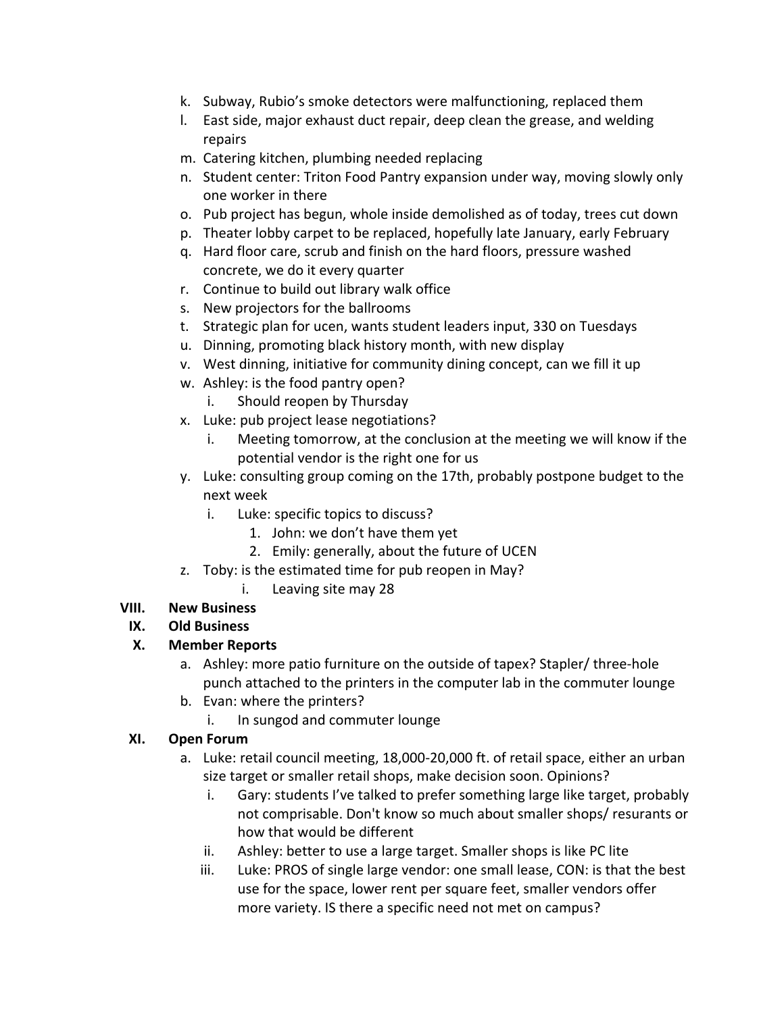- k. Subway, Rubio's smoke detectors were malfunctioning, replaced them
- l. East side, major exhaust duct repair, deep clean the grease, and welding repairs
- m. Catering kitchen, plumbing needed replacing
- n. Student center: Triton Food Pantry expansion under way, moving slowly only one worker in there
- o. Pub project has begun, whole inside demolished as of today, trees cut down
- p. Theater lobby carpet to be replaced, hopefully late January, early February
- q. Hard floor care, scrub and finish on the hard floors, pressure washed concrete, we do it every quarter
- r. Continue to build out library walk office
- s. New projectors for the ballrooms
- t. Strategic plan for ucen, wants student leaders input, 330 on Tuesdays
- u. Dinning, promoting black history month, with new display
- v. West dinning, initiative for community dining concept, can we fill it up
- w. Ashley: is the food pantry open?
	- i. Should reopen by Thursday
- x. Luke: pub project lease negotiations?
	- i. Meeting tomorrow, at the conclusion at the meeting we will know if the potential vendor is the right one for us
- y. Luke: consulting group coming on the 17th, probably postpone budget to the next week
	- i. Luke: specific topics to discuss?
		- 1. John: we don't have them yet
		- 2. Emily: generally, about the future of UCEN
- z. Toby: is the estimated time for pub reopen in May?
	- i. Leaving site may 28

# **VIII. New Business**

## **IX. Old Business**

## **X. Member Reports**

- a. Ashley: more patio furniture on the outside of tapex? Stapler/ three-hole punch attached to the printers in the computer lab in the commuter lounge
- b. Evan: where the printers?
	- i. In sungod and commuter lounge

## **XI. Open Forum**

- a. Luke: retail council meeting, 18,000-20,000 ft. of retail space, either an urban size target or smaller retail shops, make decision soon. Opinions?
	- i. Gary: students I've talked to prefer something large like target, probably not comprisable. Don't know so much about smaller shops/ resurants or how that would be different
	- ii. Ashley: better to use a large target. Smaller shops is like PC lite
	- iii. Luke: PROS of single large vendor: one small lease, CON: is that the best use for the space, lower rent per square feet, smaller vendors offer more variety. IS there a specific need not met on campus?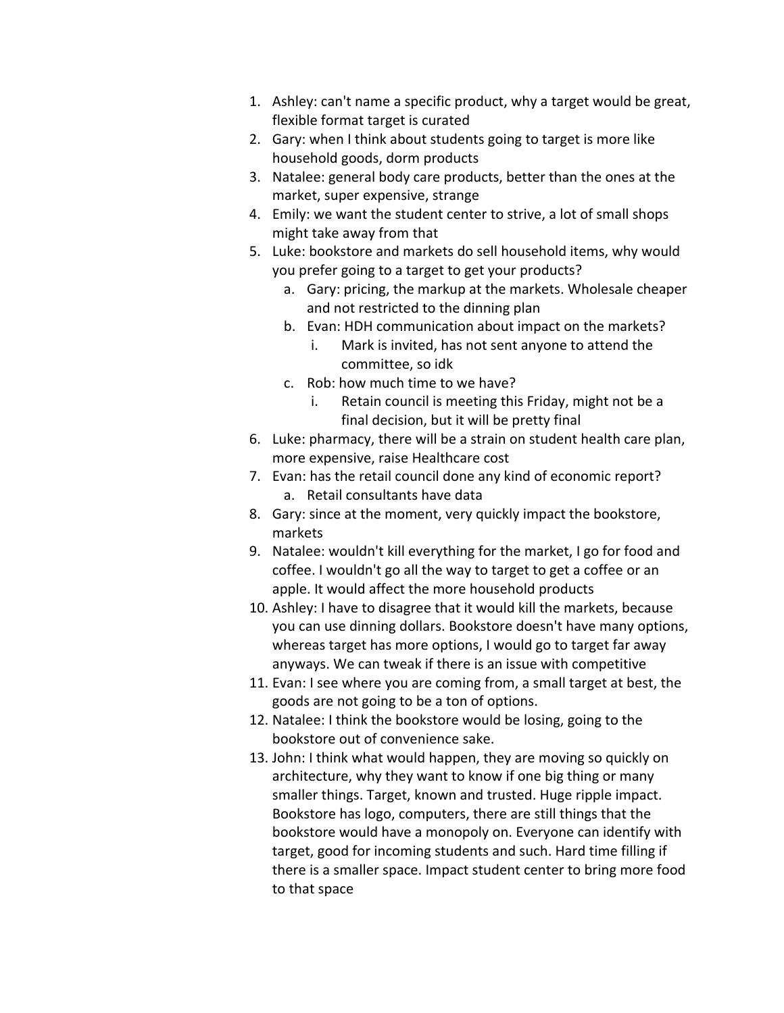- 1. Ashley: can't name a specific product, why a target would be great, flexible format target is curated
- 2. Gary: when I think about students going to target is more like household goods, dorm products
- 3. Natalee: general body care products, better than the ones at the market, super expensive, strange
- 4. Emily: we want the student center to strive, a lot of small shops might take away from that
- 5. Luke: bookstore and markets do sell household items, why would you prefer going to a target to get your products?
	- a. Gary: pricing, the markup at the markets. Wholesale cheaper and not restricted to the dinning plan
	- b. Evan: HDH communication about impact on the markets?
		- i. Mark is invited, has not sent anyone to attend the committee, so idk
	- c. Rob: how much time to we have?
		- i. Retain council is meeting this Friday, might not be a final decision, but it will be pretty final
- 6. Luke: pharmacy, there will be a strain on student health care plan, more expensive, raise Healthcare cost
- 7. Evan: has the retail council done any kind of economic report? a. Retail consultants have data
- 8. Gary: since at the moment, very quickly impact the bookstore, markets
- 9. Natalee: wouldn't kill everything for the market, I go for food and coffee. I wouldn't go all the way to target to get a coffee or an apple. It would affect the more household products
- 10. Ashley: I have to disagree that it would kill the markets, because you can use dinning dollars. Bookstore doesn't have many options, whereas target has more options, I would go to target far away anyways. We can tweak if there is an issue with competitive
- 11. Evan: I see where you are coming from, a small target at best, the goods are not going to be a ton of options.
- 12. Natalee: I think the bookstore would be losing, going to the bookstore out of convenience sake.
- 13. John: I think what would happen, they are moving so quickly on architecture, why they want to know if one big thing or many smaller things. Target, known and trusted. Huge ripple impact. Bookstore has logo, computers, there are still things that the bookstore would have a monopoly on. Everyone can identify with target, good for incoming students and such. Hard time filling if there is a smaller space. Impact student center to bring more food to that space